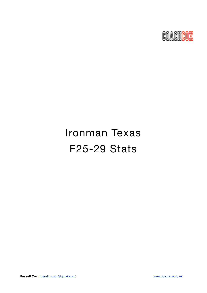

# Ironman Texas F25-29 Stats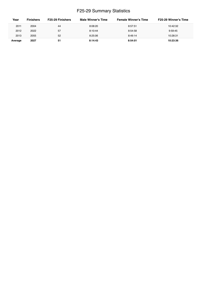## F25-29 Summary Statistics

| Year    | <b>Finishers</b> | <b>F25-29 Finishers</b> | Male Winner's Time | <b>Female Winner's Time</b> | <b>F25-29 Winner's Time</b> |
|---------|------------------|-------------------------|--------------------|-----------------------------|-----------------------------|
| 2011    | 2004             | 44                      | 8:08:20            | 8:57:51                     | 10:42:32                    |
| 2012    | 2022             | 57                      | 8:10:44            | 8:54:58                     | 9:59:45                     |
| 2013    | 2055             | 52                      | 8:25:06            | 8:49:14                     | 10:28:31                    |
| Average | 2027             | 51                      | 8:14:43            | 8:54:01                     | 10:23:36                    |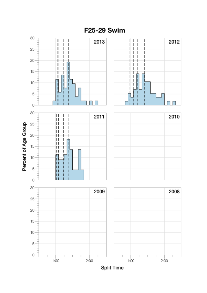

F25-29 Swim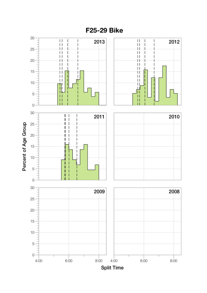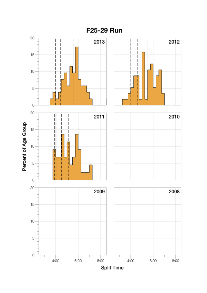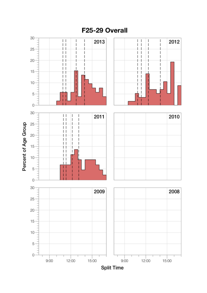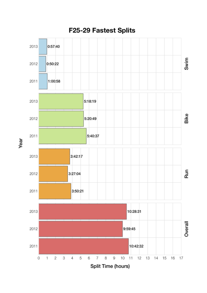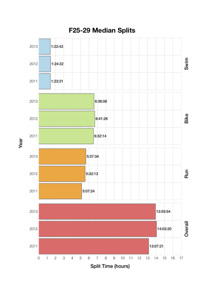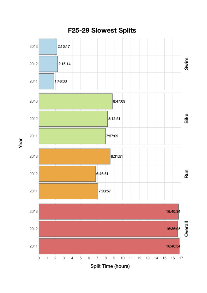

Year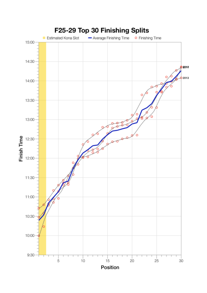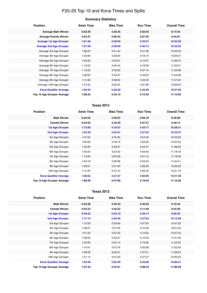## F25-29 Top 10 and Kona Times and Splits

| Summary Statistics |  |
|--------------------|--|
|--------------------|--|

| <b>Position</b>                   | <b>Swim Time</b> | <b>Bike Time</b> | <b>Run Time</b> | <b>Overall Time</b> |
|-----------------------------------|------------------|------------------|-----------------|---------------------|
| <b>Average Male Winner</b>        | 0:52:39          | 4:26:55          | 2:50:45         | 8:14:43             |
| <b>Average Female Winner</b>      | 0:53:47          | 5:06:32          | 3:07:36         | 8:54:01             |
| <b>Average 1st Age Grouper</b>    | 1:01:48          | 5:29:59          | 3:43:57         | 10:23:36            |
| <b>Average 2nd Age Grouper</b>    | 1:07:20          | 5:30:59          | 3:46:15         | 10:32:04            |
| Average 3rd Age Grouper           | 1:08:24          | 5:41:44          | 3:51:58         | 10:50:42            |
| Average 4th Age Grouper           | 1:04:06          | 5:28:40          | 4:18:10         | 10:59:31            |
| Average 5th Age Grouper           | 1:05:02          | 5:43:01          | 4:12:37         | 11:08:10            |
| Average 6th Age Grouper           | 1:13:05          | 5:40:44          | 4:19:30         | 11:22:01            |
| Average 7th Age Grouper           | 1:13:22          | 5:53:50          | 4:07:14         | 11:24:38            |
| Average 8th Age Grouper           | 1:08:09          | 5:42:37          | 4:43:34         | 11:44:06            |
| Average 9th Age Grouper           | 1:14:46          | 5:58:02          | 4:34:23         | 11:57:40            |
| Average 10th Age Grouper          | 1:21:04          | 6:02:52          | 4:31:06         | 12:08:03            |
| <b>Kona Qualifier Average</b>     | 1:04:34          | 5:30:29          | 3:45:06         | 10:27:50            |
| <b>Top 10 Age Grouper Average</b> | 1:09:42          | 5:43:15          | 4:12:52         | 11:15:03            |

### **Texas 2013**

| <b>Position</b>                   | <b>Swim Time</b> | <b>Bike Time</b> | <b>Run Time</b> | <b>Overall Time</b> |
|-----------------------------------|------------------|------------------|-----------------|---------------------|
| <b>Male Winner</b>                | 0:54:54          | 4:29:07          | 2:56:18         | 8:25:06             |
| <b>Female Winner</b>              | 0:54:02          | 4:42:29          | 3:07:27         | 8:49:14             |
| <b>1st Age Grouper</b>            | 1:13:56          | 5:18:57          | 3:42:17         | 10:28:31            |
| <b>2nd Age Grouper</b>            | 1:03:49          | 5:24:57          | 3:57:55         | 10:34:27            |
| 3rd Age Grouper                   | 1:01:55          | 5:42:40          | 3:54:32         | 10:49:23            |
| 4th Age Grouper                   | 1:05:09          | 5:18:19          | 4:25:00         | 10:57:04            |
| 5th Age Grouper                   | 1:04:26          | 5:33:21          | 4:24:07         | 11:08:32            |
| 6th Age Grouper                   | 1:04:23          | 5:23:42          | 4:43:40         | 11:18:18            |
| 7th Age Grouper                   | 1:13:56          | 5:55:58          | 4:01:10         | 11:19:09            |
| 8th Age Grouper                   | 1:04:18          | 5:26:28          | 4:53:43         | 11:34:41            |
| 9th Age Grouper                   | 1:20:01          | 5:51:55          | 4:39:20         | 12:03:23            |
| 10th Age Grouper                  | 1:14:44          | 6:15:15          | 4:35:42         | 12:21:19            |
| <b>Kona Qualifier Average</b>     | 1:08:52          | 5:21:57          | 3:50:06         | 10:31:29            |
| <b>Top 10 Age Grouper Average</b> | 1:08:39          | 5:37:09          | 4:19:44         | 11:15:28            |

#### **Texas 2012**

| <b>Position</b>               | <b>Swim Time</b> | <b>Bike Time</b> | <b>Run Time</b> | <b>Overall Time</b> |
|-------------------------------|------------------|------------------|-----------------|---------------------|
| <b>Male Winner</b>            | 0:53:36          | 4:25:43          | 2:46:55         | 8:10:44             |
| <b>Female Winner</b>          | 0:53:32          | 4:45:52          | 3:11:09         | 8:54:58             |
| <b>1st Age Grouper</b>        | 0:50:22          | 5:25:10          | 3:39:14         | 9:59:45             |
| <b>2nd Age Grouper</b>        | 1:17:14          | 5:20:49          | 3:27:04         | 10:13:58            |
| 3rd Age Grouper               | 1:10:29          | 5:39:49          | 3:47:34         | 10:47:02            |
| 4th Age Grouper               | 1:06:07          | 5:27:05          | 4:10:56         | 10:51:30            |
| 5th Age Grouper               | 1:01:23          | 5:37:35          | 4:12:50         | 10:57:45            |
| 6th Age Grouper               | 1:08:03          | 5:46:27          | 4:15:53         | 11:21:49            |
| 7th Age Grouper               | 1:02:09          | 5:54:14          | 4:15:26         | 11:22:00            |
| 8th Age Grouper               | 1:10:41          | 5:57:24          | 4:33:38         | 11:52:59            |
| 9th Age Grouper               | 1:09:26          | 6:02:21          | 4:37:21         | 11:59:03            |
| 10th Age Grouper              | 1:21:14          | 5:57:43          | 4:27:27         | 12:00:53            |
| <b>Kona Qualifier Average</b> | 1:03:48          | 5:22:59          | 3:33:09         | 10:06:51            |
| Top 10 Age Grouper Average    | 1:07:42          | 5:42:51          | 4:08:44         | 11:08:40            |